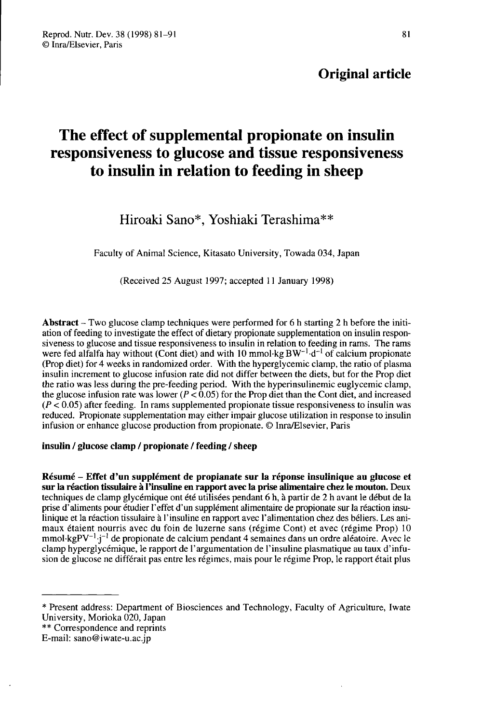## Original article

# The effect of supplemental propionate on insulin responsiveness to glucose and tissue responsiveness to insulin in relation to feeding in sheep

## Hiroaki Sano\*, Yoshiaki Terashima\*\*

Faculty of Animal Science, Kitasato University, Towada 034, Japan

(Received 25 August 1997; accepted 11 January 1998)

Abstract - Two glucose clamp techniques were performed for 6 h starting 2 h before the initiation of feeding to investigate the effect of dietary propionate supplementation on insulin responsiveness to glucose and tissue responsiveness to insulin in relation to feeding in rams. The rams were fed alfalfa hay without (Cont diet) and with 10 mmol $\,$ kg BW<sup>-1</sup> $\,$ d<sup>-1</sup> of calcium propionate (Prop diet) for 4 weeks in randomized order. With the hyperglycemic clamp, the ratio of plasma insulin increment to glucose infusion rate did not differ between the diets, but for the Prop diet the ratio was less during the pre-feeding period. With the hyperinsulinemic euglycemic clamp, the glucose infusion rate was lower ( $P \le 0.05$ ) for the Prop diet than the Cont diet, and increased  $(P < 0.05)$  after feeding. In rams supplemented propionate tissue responsiveness to insulin was reduced. Propionate supplementation may either impair glucose utilization in response to insulin infusion or enhance glucose production from propionate. @ Inra/Elsevier, Paris

## insulin / glucose clamp / propionate / feeding / sheep

Résumé - Effet d'un supplément de propianate sur la réponse insulinique au glucose et sur la réaction tissulaire à l'insuline en rapport avec la prise alimentaire chez le mouton. Deux techniques de clamp glycémique ont été utilisées pendant 6 h, à partir de 2 h avant le début de la prise d'aliments pour étudier l'effet d'un supplément alimentaire de propionate sur la réaction insulinique et la réaction tissulaire à l'insuline en rapport avec l'alimentation chez des béliers. Les animaux étaient nourris avec du foin de luzerne sans (régime Cont) et avec (régime Prop) 10 mmol·kg $PV^{-1}$ -j<sup>-1</sup> de propionate de calcium pendant 4 semaines dans un ordre aléatoire. Avec le **Résumé – Effet d'un supplément de propianate sur la réponse insulinique au glucose et<br>sur la réaction tissulaire à l'insuline en rapport avec la prise alimentaire chez le mouton. Deux<br>techniques de clamp glycémique ont é** clamp hyperglycémique, le rapport de l'argumentation de l'insuline plasmatique au taux d'infusion de glucose ne différait pas entre les régimes, mais pour le régime Prop, le rapport était plus

<sup>\*</sup> Present address: Department of Biosciences and Technology, Faculty of Agriculture, Iwate

<sup>\*\*</sup> Correspondence and reprints

E-mail: sano@iwate-u.ac.jp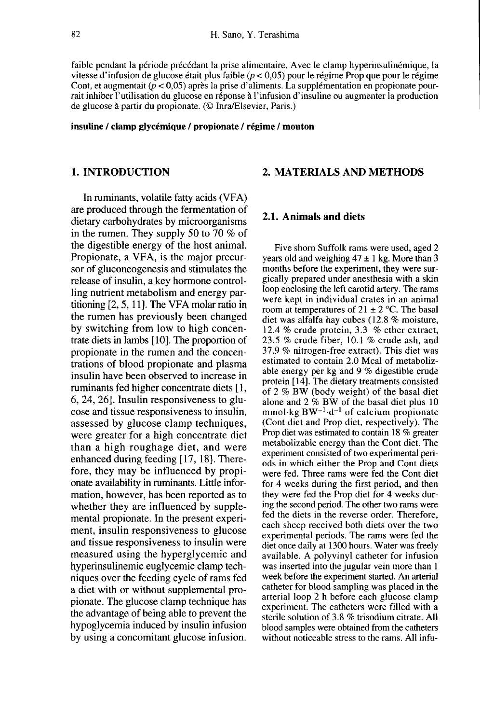faible pendant la période précédant la prise alimentaire. Avec le clamp hyperinsulinémique, la vitesse d'infusion de glucose était plus faible  $(p < 0.05)$  pour le régime Prop que pour le régime Cont, et augmentait  $(p < 0.05)$  après la prise d'aliments. La supplémentation en propionate pourrait inhiber l'utilisation du glucose en réponse à l'infusion d'insuline ou augmenter la production de glucose à partir du propionate. (@ Inra/Elsevier, Paris.)

## insuline / clamp glycémique / propionate / régime / mouton

## 1. INTRODUCTION

In ruminants, volatile fatty acids (VFA) are produced through the fermentation of dietary carbohydrates by microorganisms in the rumen. They supply 50 to 70 % of the digestible energy of the host animal. Propionate, a VFA, is the major precursor of gluconeogenesis and stimulates the release of insulin, a key hormone controlling nutrient metabolism and energy partitioning [2, 5, 11]. The VFA molar ratio in the rumen has previously been changed by switching from low to high concentrate diets in lambs [10]. The proportion of propionate in the rumen and the concentrations of blood propionate and plasma insulin have been observed to increase in ruminants fed higher concentrate diets [1, 6, 24, 26]. Insulin responsiveness to glu cose and tissue responsiveness to insulin, assessed by glucose clamp techniques, were greater for a high concentrate diet than a high roughage diet, and were enhanced during feeding [17, 18]. Therefore, they may be influenced by propi onate availability in ruminants. Little information, however, has been reported as to whether they are influenced by supplemental propionate. In the present experiment, insulin responsiveness to glucose and tissue responsiveness to insulin were measured using the hyperglycemic and hyperinsulinemic euglycemic clamp techniques over the feeding cycle of rams fed a diet with or without supplemental propionate. The glucose clamp technique has the advantage of being able to prevent the hypoglycemia induced by insulin infusion by using a concomitant glucose infusion.

## 2. MATERIALS AND METHODS

## 2.1. Animals and diets

Five shorn Suffolk rams were used, aged 2 years old and weighing  $47 \pm 1$  kg. More than 3 months before the experiment, they were surgically prepared under anesthesia with a skin loop enclosing the left carotid artery. The rams were kept in individual crates in an animal room at temperatures of  $21 \pm 2$  °C. The basal diet was alfalfa hay cubes (12.8 % moisture, 12.4 % crude protein, 3.3 % ether extract, 23.5 % crude fiber, 10.1 % crude ash, and 37.9 % nitrogen-free extract). This diet was estimated to contain 2.0 Mcal of metabolizable energy per kg and 9 % digestible crude protein [14]. The dietary treatments consisted of 2 % BW (body weight) of the basal diet alone and 2 % BW of the basal diet plus 10 able energy per kg and 9 % digestible crude<br>protein [14]. The dietary treatments consisted<br>of 2 % BW (body weight) of the basal diet<br>alone and 2 % BW of the basal diet plus 10<br>mmol·kg BW<sup>-1</sup>·d<sup>-1</sup> of calcium propionate<br>(C (Cont diet and Prop diet, respectively). The Prop diet was estimated to contain 18 % greater metabolizable energy than the Cont diet. The experiment consisted of two experimental periods in which either the Prop and Cont diets were fed. Three rams were fed the Cont diet for 4 weeks during the first period, and then they were fed the Prop diet for 4 weeks during the second period. The other two rams were fed the diets in the reverse order. Therefore, each sheep received both diets over the two experimental periods. The rams were fed the diet once daily at 1300 hours. Water was freely available. A polyvinyl catheter for infusion was inserted into the jugular vein more than 1 week before the experiment started. An arterial catheter for blood sampling was placed in the arterial loop 2 h before each glucose clamp experiment. The catheters were filled with a sterile solution of 3.8 % trisodium citrate. All blood samples were obtained from the catheters without noticeable stress to the rams. All infu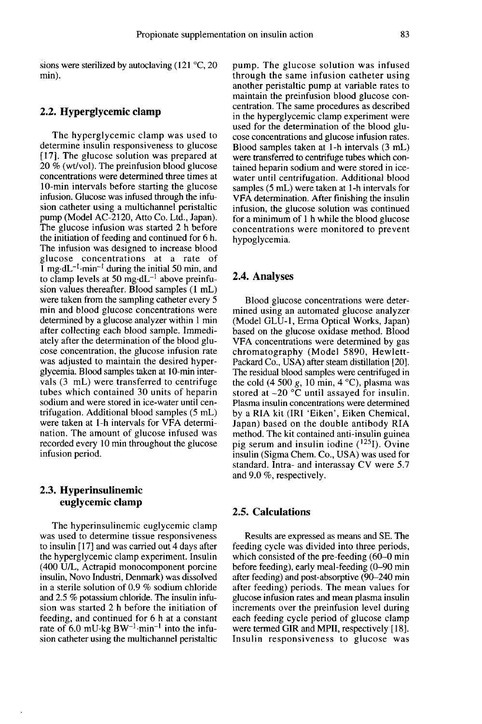sions were sterilized by autoclaving (121 °C, 20 min).

### 2.2. Hyperglycemic clamp

The hyperglycemic clamp was used to determine insulin responsiveness to glucose [17]. The glucose solution was prepared at 20 % (wt/vol). The preinfusion blood glucose concentrations were determined three times at 10-min intervals before starting the glucose infusion. Glucose was infused through the infusion catheter using a multichannel peristaltic pump (Model AC-2120, Atto Co. Ltd., Japan). The glucose infusion was started 2 h before the initiation of feeding and continued for 6 h. The infusion was designed to increase blood glucose concentrations at a rate of Example in a multichannel peristaltic<br>
sion catheter using a multichannel peristaltic<br>
pump (Model AC-2120, Atto Co. Ltd., Japan).<br>
The glucose infusion was started 2 h before<br>
the initiation of feeding and continued for sion values thereafter. Blood samples (1 mL) were taken from the sampling catheter every 5 min and blood glucose concentrations were determined by a glucose analyzer within 1 min after collecting each blood sample. Immediately after the determination of the blood glu cose concentration, the glucose infusion rate was adjusted to maintain the desired hyperglycemia. Blood samples taken at 10-min intervals (3 mL) were transferred to centrifuge tubes which contained 30 units of heparin sodium and were stored in ice-water until centrifugation. Additional blood samples (5 mL) were taken at 1-h intervals for VFA determination. The amount of glucose infused was recorded every 10 min throughout the glucose infusion period.

## 2.3. Hyperinsulinemic euglycemic clamp

The hyperinsulinemic euglycemic clamp was used to determine tissue responsiveness to insulin [17] and was carried out 4 days after the hyperglycemic clamp experiment. Insulin (400 U/L, Actrapid monocomponent porcine insulin, Novo Industri, Denmark) was dissolved in a sterile solution of 0.9 % sodium chloride and 2.5 % potassium chloride. The insulin infusion was started 2 h before the initiation of feeding, and continued for 6 h at a constant rate of 6.0 mU kg  $BW^{-1}$  min<sup>-1</sup> into the infusion catheter using the multichannel peristaltic pump. The glucose solution was infused through the same infusion catheter using another peristaltic pump at variable rates to maintain the preinfusion blood glucose concentration. The same procedures as described in the hyperglycemic clamp experiment were used for the determination of the blood glu cose concentrations and glucose infusion rates. Blood samples taken at 1-h intervals (3 mL) were transferred to centrifuge tubes which contained heparin sodium and were stored in icewater until centrifugation. Additional blood samples (5 mL) were taken at 1-h intervals for VFA determination. After finishing the insulin infusion, the glucose solution was continued for a minimum of 1 h while the blood glucose concentrations were monitored to prevent hypoglycemia.

#### 2.4. Analyses

Blood glucose concentrations were determined using an automated glucose analyzer (Model GLU-1, Erma Optical Works, Japan) based on the glucose oxidase method. Blood VFA concentrations were determined by gas chromatography (Model 5890, Hewlett-Packard Co., USA) after steam distillation [20]. The residual blood samples were centrifuged in the cold (4 500 g, 10 min, 4  $^{\circ}$ C), plasma was stored at -20 °C until assayed for insulin. Plasma insulin concentrations were determined by a RIA kit (IRI 'Eiken', Eiken Chemical, Japan) based on the double antibody RIA method. The kit contained anti-insulin guinea pig serum and insulin iodine  $(^{125}I)$ . Ovine insulin (Sigma Chem. Co., USA) was used for standard. Intra- and interassay CV were 5.7 and 9.0 %, respectively.

## 2.5. Calculations

Results are expressed as means and SE. The feeding cycle was divided into three periods, which consisted of the pre-feeding (60-0 min before feeding), early meal-feeding (0-90 min after feeding) and post-absorptive (90-240 min after feeding) periods. The mean values for glucose infusion rates and mean plasma insulin increments over the preinfusion level during<br>each feeding cycle period of glucose clamp were termed GIR and MPII, respectively [18]. Insulin responsiveness to glucose was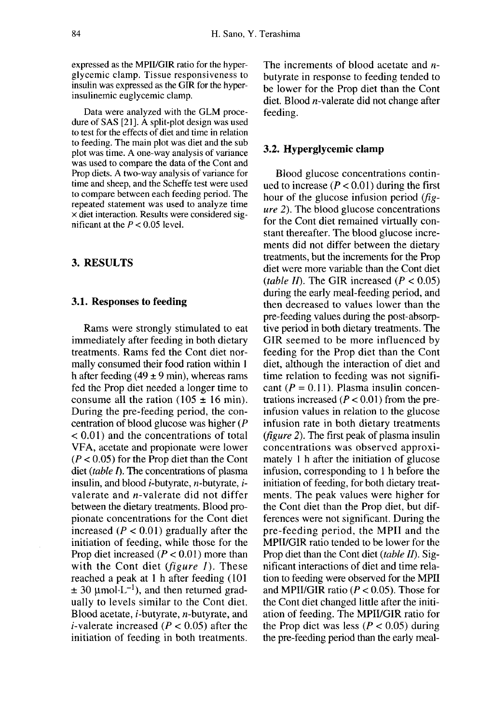expressed as the MPII/GIR ratio for the hyperglycemic clamp. Tissue responsiveness to insulin was expressed as the GIR for the hyperinsulinemic euglycemic clamp.

Data were analyzed with the GLM procedure of SAS [21]. A split-plot design was used to test for the effects of diet and time in relation to feeding. The main plot was diet and the sub plot was time. A one-way analysis of variance was used to compare the data of the Cont and Prop diets. A two-way analysis of variance for time and sheep, and the Scheffe test were used to compare between each feeding period. The repeated statement was used to analyze time x diet interaction. Results were considered significant at the  $P < 0.05$  level.

## 3. RESULTS

### 3.1. Responses to feeding

Rams were strongly stimulated to eat<br>immediately after feeding in both dietary treatments. Rams fed the Cont diet normally consumed their food ration within 1 h after feeding (49  $\pm$  9 min), whereas rams fed the Prop diet needed a longer time to consume all the ration ( $105 \pm 16$  min). During the pre-feeding period, the concentration of blood glucose was higher (P < 0.01) and the concentrations of total VFA, acetate and propionate were lower  $(P < 0.05)$  for the Prop diet than the Cont diet *(table I)*. The concentrations of plasma insulin, and blood *i*-butyrate, *n*-butyrate, *i*valerate and n-valerate did not differ between the dietary treatments. Blood propionate concentrations for the Cont diet increased ( $P < 0.01$ ) gradually after the initiation of feeding, while those for the Prop diet increased  $(P < 0.01)$  more than with the Cont diet ( $figure\ I$ ). These reached a peak at 1 h after feeding (101)  $\pm$  30 µmol $\cdot$ L<sup>-1</sup>), and then returned gradually to levels similar to the Cont diet. Blood acetate, i-butyrate, n-butyrate, and *i*-valerate increased ( $P < 0.05$ ) after the initiation of feeding in both treatments.

The increments of blood acetate and nbutyrate in response to feeding tended to be lower for the Prop diet than the Cont diet. Blood n-valerate did not change after feeding.

#### 3.2. Hyperglycemic clamp

Blood glucose concentrations continued to increase  $(P < 0.01)$  during the first hour of the glucose infusion period (fig ure 2). The blood glucose concentrations for the Cont diet remained virtually constant thereafter. The blood glucose increments did not differ between the dietary treatments, but the increments for the Prop diet were more variable than the Cont diet (table II). The GIR increased  $(P < 0.05)$ during the early meal-feeding period, and then decreased to values lower than the pre-feeding values during the post-absorptive period in both dietary treatments. The GIR seemed to be more influenced by feeding for the Prop diet than the Cont diet, although the interaction of diet and<br>time relation to feeding was not significant  $(P = 0.11)$ . Plasma insulin concentrations increased ( $P < 0.01$ ) from the preinfusion values in relation to the glucose infusion rate in both dietary treatments ( $figure 2$ ). The first peak of plasma insulin concentrations was observed approximately 1 h after the initiation of glucose infusion, corresponding to 1 h before the initiation of feeding, for both dietary treatments. The peak values were higher for the Cont diet than the Prop diet, but differences were not significant. During the pre-feeding period, the MPII and the MPII/GIR ratio tended to be lower for the Prop diet than the Cont diet (table II). Significant interactions of diet and time relation to feeding were observed for the MPII and MPII/GIR ratio ( $P < 0.05$ ). Those for the Cont diet changed little after the initiation of feeding. The MPII/GIR ratio for the Prop diet was less ( $P < 0.05$ ) during the pre-feeding period than the early meal-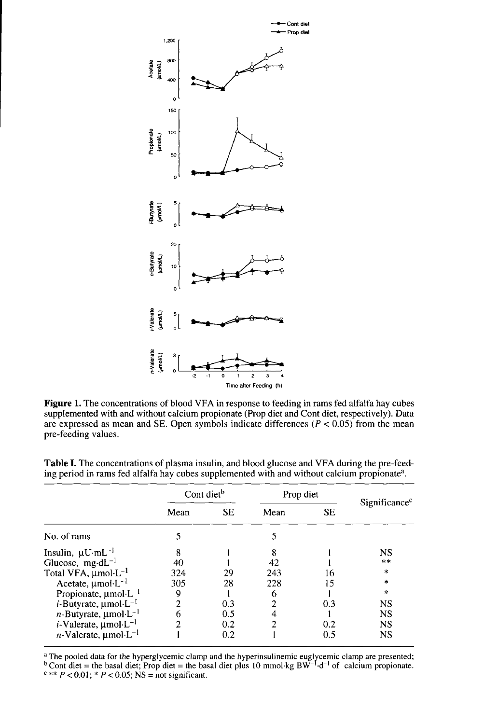

Figure 1. The concentrations of blood VFA in response to feeding in rams fed alfalfa hay cubes supplemented with and without calcium propionate (Prop diet and Cont diet, respectively). Data are expressed as mean and SE. Open symbols indicate differences ( $P < 0.05$ ) from the mean pre-feeding values.

|                                               | Cont diet <sup>b</sup> |           | Prop diet                |           |                           |
|-----------------------------------------------|------------------------|-----------|--------------------------|-----------|---------------------------|
|                                               | Mean                   | <b>SE</b> | Mean                     | <b>SE</b> | Significance <sup>c</sup> |
| No. of rams                                   |                        |           | 5                        |           |                           |
| Insulin, $\mu U \cdot mL^{-1}$                | 8                      |           | 8                        |           | <b>NS</b>                 |
| Glucose, $mg \, dL^{-1}$                      | 40                     |           | 42                       |           | **                        |
| Total VFA, umol·L <sup>-1</sup>               | 324                    | 29        | 243                      | 16        | $\star$                   |
| Acetate, $\mu$ mol·L <sup>-1</sup>            | 305                    | 28        | 228                      | 15        | $\ast$                    |
| Propionate, $\mu$ mol·L <sup>-1</sup>         | 9                      |           | 6                        |           | $\ast$                    |
| <i>i</i> -Butyrate, $\mu$ mol·L <sup>-1</sup> | 2                      | 0.3       | $\overline{\mathcal{L}}$ | 0.3       | <b>NS</b>                 |
| <i>n</i> -Butyrate, $\mu$ mol·L <sup>-1</sup> | 6                      | 0.5       |                          |           | <b>NS</b>                 |
| $i$ -Valerate, $\mu$ mol·L <sup>-1</sup>      |                        | 0.2       | 2                        | 0.2       | <b>NS</b>                 |
| $n$ -Valerate, umol·L <sup>-1</sup>           |                        | 0.2       |                          | 0.5       | NS                        |

Table I. The concentrations of plasma insulin, and blood glucose and VFA during the pre-feeding period in rams fed alfalfa hay cubes supplemented with and without calcium propionate<sup>a</sup>.

<sup>a</sup>The pooled data for the hyperglycemic clamp and the hyperinsulinemic euglycemic clamp are presented;  $\frac{1}{2}$  Cont diet = the basal diet; Prop diet = the basal diet plus 10 mmol·kg BW<sup>-1</sup>·d<sup>-1</sup> of calcium propionate.  $c** P < 0.01$ ; \*  $P < 0.05$ ; NS = not significant.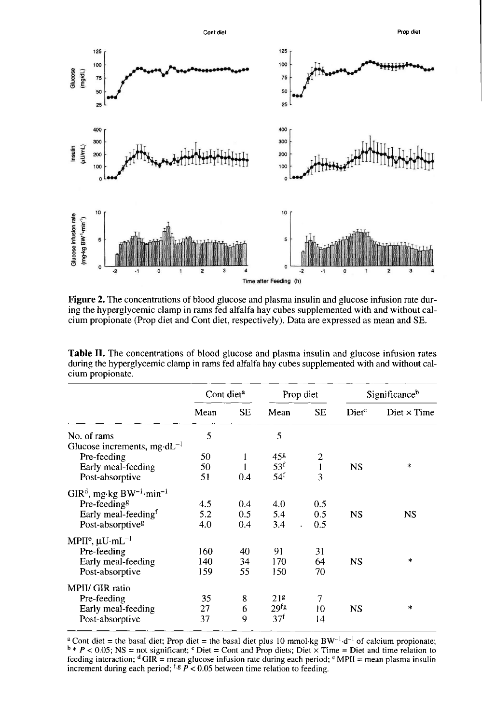

Figure 2. The concentrations of blood glucose and plasma insulin and glucose infusion rate during the hyperglycemic clamp in rams fed alfalfa hay cubes supplemented with and without calcium propionate (Prop diet and Cont diet, respectively). Data are expressed as mean and SE.

|                                                    | Cont diet <sup>a</sup> |           | Prop diet        |                | Significance <sup>b</sup> |                    |
|----------------------------------------------------|------------------------|-----------|------------------|----------------|---------------------------|--------------------|
|                                                    | Mean                   | <b>SE</b> | Mean             | <b>SE</b>      | Dietc                     | Diet $\times$ Time |
| No. of rams                                        | 5                      |           | 5                |                |                           |                    |
| Glucose increments, mg·dL <sup>-1</sup>            |                        |           |                  |                |                           |                    |
| Pre-feeding                                        | 50                     | 1         | 458              | $\overline{c}$ |                           |                    |
| Early meal-feeding                                 | 50                     |           | 53 <sup>f</sup>  | $\mathbf{I}$   | <b>NS</b>                 | $\star$            |
| Post-absorptive                                    | 51                     | 0.4       | 54 <sup>f</sup>  | 3              |                           |                    |
| $GIRd$ , mg·kg BW <sup>-1</sup> ·min <sup>-1</sup> |                        |           |                  |                |                           |                    |
| Pre-feeding <sup>g</sup>                           | 4.5                    | 0.4       | 4.0              | 0.5            |                           |                    |
| Early meal-feeding <sup>f</sup>                    | 5.2                    | 0.5       | 5.4              | 0.5            | <b>NS</b>                 | NS                 |
| Post-absorptive <sup>g</sup>                       | 4.0                    | 0.4       | 3.4              | 0.5            |                           |                    |
| MPII <sup>e</sup> , $\mu$ U·mL <sup>-1</sup>       |                        |           |                  |                |                           |                    |
| Pre-feeding                                        | 160                    | 40        | 91               | 31             |                           |                    |
| Early meal-feeding                                 | 140                    | 34        | 170              | 64             | <b>NS</b>                 | $\ast$             |
| Post-absorptive                                    | 159                    | 55        | 150              | 70             |                           |                    |
| MPII/ GIR ratio                                    |                        |           |                  |                |                           |                    |
| Pre-feeding                                        | 35                     | 8         | 21 <sup>g</sup>  | 7              |                           |                    |
| Early meal-feeding                                 | 27                     | 6         | 29 <sup>fg</sup> | 10             | <b>NS</b>                 | $\ast$             |
| Post-absorptive                                    | 37                     | 9         | 37 <sup>f</sup>  | 14             |                           |                    |

Table II. The concentrations of blood glucose and plasma insulin and glucose infusion rates during the hyperglycemic clamp in rams fed alfalfa hay cubes supplemented with and without calcium propionate.

<sup>a</sup> Cont diet = the basal diet; Prop diet = the basal diet plus 10 mmol·kg BW<sup>-1</sup>·d<sup>-1</sup> of calcium propionate;  $b * P < 0.05$ ; NS = not significant; <sup>c</sup> Diet = Cont and Prop diets; Diet  $\times$  Time = Diet and time relation to feeding interaction;  $\rm{d}$  GIR = mean glucose infusion rate during each period;  $\rm{e}$  MPII = mean plasma insulin increment during each period;  $f \text{ s } P < 0.05$  between time relation to feeding.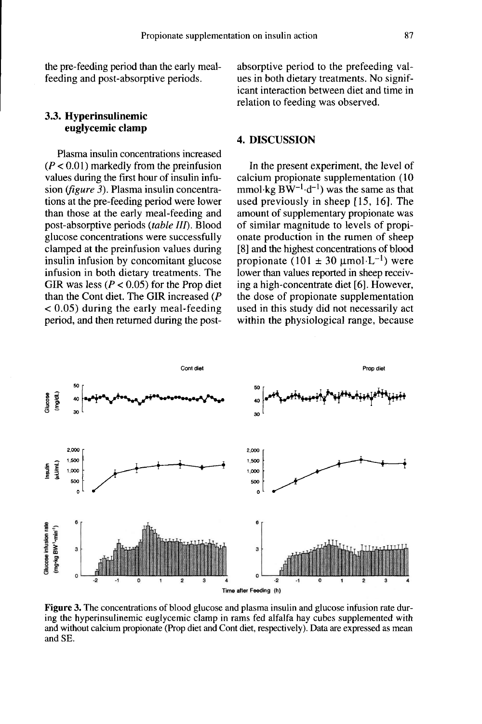the pre-feeding period than the early mealfeeding and post-absorptive periods.

## 3.3. Hyperinsulinemic euglycemic clamp

Plasma insulin concentrations increased  $(P < 0.01)$  markedly from the preinfusion values during the first hour of insulin infusion (figure 3). Plasma insulin concentrations at the pre-feeding period were lower than those at the early meal-feeding and post-absorptive periods (table III). Blood glucose concentrations were successfully clamped at the preinfusion values during insulin infusion by concomitant glucose infusion in both dietary treatments. The GIR was less ( $P < 0.05$ ) for the Prop diet than the Cont diet. The GIR increased (P < 0.05) during the early meal-feeding period, and then returned during the postabsorptive period to the prefeeding values in both dietary treatments. No significant interaction between diet and time in relation to feeding was observed.

## 4. DISCUSSION

In the present experiment, the level of calcium propionate supplementation (10 mmol $\text{kg BW}^{-1} \cdot d^{-1}$ ) was the same as that used previously in sheep [15, 16]. The amount of supplementary propionate was of similar magnitude to levels of propi onate production in the rumen of sheep [8] and the highest concentrations of blood propionate (101  $\pm$  30  $\mu$ mol·L<sup>-1</sup>) were lower than values reported in sheep receiving a high-concentrate diet [6]. However, the dose of propionate supplementation used in this study did not necessarily act within the physiological range, because



**Figure 3.** The concentrations of blood glucose and plasma insulin and glucose infusion rate during the hyperinsulinemic euglycemic clamp in rams fed alfalfa hay cubes supplemented with and without calcium propionate (Prop diet and Cont diet, respectively). Data are expressed as mean and SE.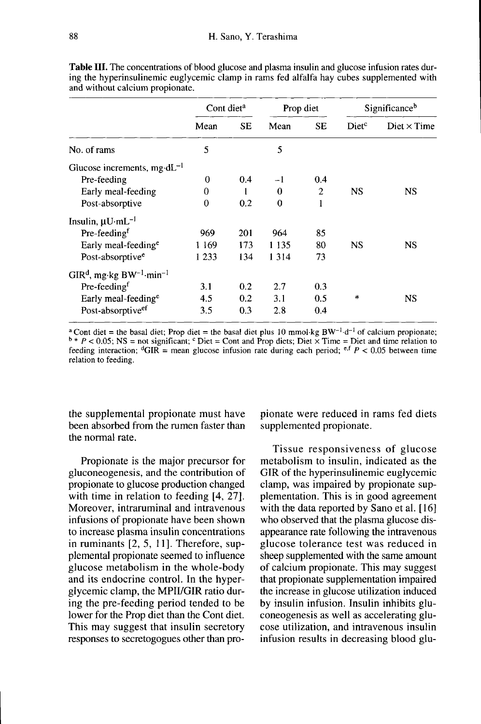|                                                    | Cont diet <sup>a</sup> |           | Prop diet |                | Significanceb     |                    |
|----------------------------------------------------|------------------------|-----------|-----------|----------------|-------------------|--------------------|
|                                                    | Mean                   | <b>SE</b> | Mean      | <b>SE</b>      | Diet <sup>c</sup> | Diet $\times$ Time |
| No. of rams                                        | 5                      |           | 5         |                |                   |                    |
| Glucose increments, mg $dL^{-1}$                   |                        |           |           |                |                   |                    |
| Pre-feeding                                        | $\bf{0}$               | 0.4       | $-1$      | 0.4            |                   |                    |
| Early meal-feeding                                 | $\Omega$               |           | $\theta$  | $\overline{c}$ | <b>NS</b>         | NS                 |
| Post-absorptive                                    | $\bf{0}$               | 0.2       | $\bf{0}$  | 1              |                   |                    |
| Insulin, $\mu U \cdot mL^{-1}$                     |                        |           |           |                |                   |                    |
| Pre-feeding <sup>f</sup>                           | 969                    | 201       | 964       | 85             |                   |                    |
| Early meal-feeding <sup>e</sup>                    | 1 169                  | 173       | 1 1 3 5   | 80             | NS                | NS                 |
| Post-absorptive <sup>e</sup>                       | 1 2 3 3                | 134       | 1 3 1 4   | 73             |                   |                    |
| $GIRd$ , mg·kg BW <sup>-1</sup> ·min <sup>-1</sup> |                        |           |           |                |                   |                    |
| Pre-feeding <sup>f</sup>                           | 3.1                    | 0.2       | 2.7       | 0.3            |                   |                    |
| Early meal-feeding <sup>e</sup>                    | 4.5                    | 0.2       | 3.1       | 0.5            | $\ast$            | NS                 |
| Post-absorptive <sup>er</sup>                      | 3.5                    | 0.3       | 2.8       | 0.4            |                   |                    |

**Table III.** The concentrations of blood glucose and plasma insulin and glucose infusion rates during the hyperinsulinemic euglycemic clamp in rams fed alfalfa hay cubes supplemented with and without calcium propionate.

<sup>a</sup> Cont diet = the basal diet; Prop diet = the basal diet plus 10 mmol·kg BW<sup>-1</sup>·d<sup>-1</sup> of calcium propionate;  $b * P < 0.05$ ; NS = not significant; <sup>c</sup> Diet = Cont and Prop diets; Diet  $\times$  Time = Diet and time relation to feeding interaction; <sup>d</sup>GIR = mean glucose infusion rate during each period; <sup>e,f</sup> P < 0.05 between time relation to feeding.

the supplemental propionate must have been absorbed from the rumen faster than the normal rate.

Propionate is the major precursor for gluconeogenesis, and the contribution of propionate to glucose production changed with time in relation to feeding [4, 27]. Moreover, intraruminal and intravenous infusions of propionate have been shown to increase plasma insulin concentrations in ruminants [2, 5, 11]. Therefore, supplemental propionate seemed to influence glucose metabolism in the whole-body and its endocrine control. In the hyperglycemic clamp, the MPII/GIR ratio during the pre-feeding period tended to be lower for the Prop diet than the Cont diet. This may suggest that insulin secretory responses to secretogogues other than propionate were reduced in rams fed diets supplemented propionate.

Tissue responsiveness of glucose metabolism to insulin, indicated as the GIR of the hyperinsulinemic euglycemic clamp, was impaired by propionate supplementation. This is in good agreement with the data reported by Sano et al. [16] who observed that the plasma glucose disappearance rate following the intravenous glucose tolerance test was reduced in sheep supplemented with the same amount of calcium propionate. This may suggest that propionate supplementation impaired the increase in glucose utilization induced by insulin infusion. Insulin inhibits gluconeogenesis as well as accelerating glu cose utilization, and intravenous insulin infusion results in decreasing blood glu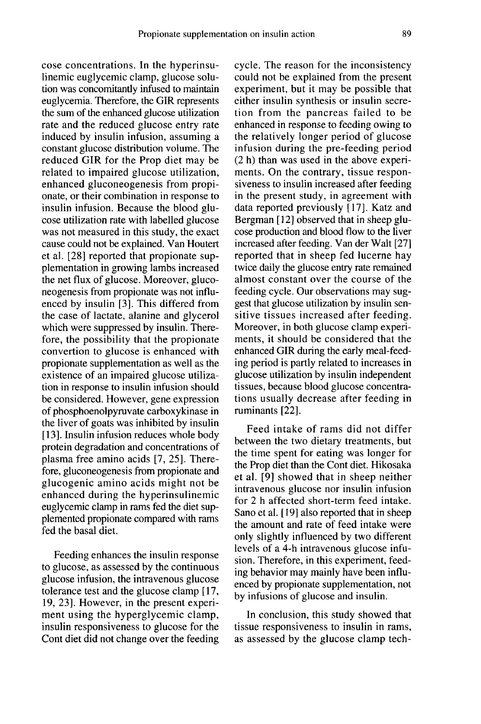cose concentrations. In the hyperinsulinemic euglycemic clamp, glucose solution was concomitantly infused to maintain euglycemia. Therefore, the GIR represents the sum of the enhanced glucose utilization rate and the reduced glucose entry rate induced by insulin infusion, assuming a constant glucose distribution volume. The reduced GIR for the Prop diet may be related to impaired glucose utilization, enhanced gluconeogenesis from propionate, or their combination in response to insulin infusion. Because the blood glu cose utilization rate with labelled glucose was not measured in this study, the exact cause could not be explained. Van Houtert et al. [28] reported that propionate supplementation in growing lambs increased the net flux of glucose. Moreover, gluconeogenesis from propionate was not influenced by insulin [3]. This differed from the case of lactate, alanine and glycerol which were suppressed by insulin. Therefore, the possibility that the propionate convertion to glucose is enhanced with propionate supplementation as well as the existence of an impaired glucose utilization in response to insulin infusion should be considered. However, gene expression of phosphoenolpyruvate carboxykinase in the liver of goats was inhibited by insulin [13]. Insulin infusion reduces whole body protein degradation and concentrations of plasma free amino acids [7, 25]. Therefore, gluconeogenesis from propionate and glucogenic amino acids might not be enhanced during the hyperinsulinemic euglycemic clamp in rams fed the diet supplemented propionate compared with rams fed the basal diet.

Feeding enhances the insulin response to glucose, as assessed by the continuous glucose infusion, the intravenous glucose tolerance test and the glucose clamp [17, 19, 23]. However, in the present experi ment using the hyperglycemic clamp, insulin responsiveness to glucose for the Cont diet did not change over the feeding

cycle. The reason for the inconsistency could not be explained from the present experiment, but it may be possible that either insulin synthesis or insulin secretion from the pancreas failed to be enhanced in response to feeding owing to the relatively longer period of glucose infusion during the pre-feeding period (2 h) than was used in the above experiments. On the contrary, tissue responsiveness to insulin increased after feeding in the present study, in agreement with data reported previously [17]. Katz and Bergman [ 12] observed that in sheep glu cose production and blood flow to the liver increased after feeding. Van der Walt [27] reported that in sheep fed lucerne hay twice daily the glucose entry rate remained almost constant over the course of the feeding cycle. Our observations may suggest that glucose utilization by insulin sensitive tissues increased after feeding. Moreover, in both glucose clamp experiments, it should be considered that the enhanced GIR during the early meal-feeding period is partly related to increases in glucose utilization by insulin independent tissues, because blood glucose concentrations usually decrease after feeding in ruminants [22].

Feed intake of rams did not differ between the two dietary treatments, but the time spent for eating was longer for the Prop diet than the Cont diet. Hikosaka et al. [9] showed that in sheep neither intravenous glucose nor insulin infusion for 2 h affected short-term feed intake. Sano et al. [19] also reported that in sheep the amount and rate of feed intake were only slightly influenced by two different levels of a 4-h intravenous glucose infusion. Therefore, in this experiment, feeding behavior may mainly have been influenced by propionate supplementation, not by infusions of glucose and insulin.

In conclusion, this study showed that tissue responsiveness to insulin in rams, as assessed by the glucose clamp tech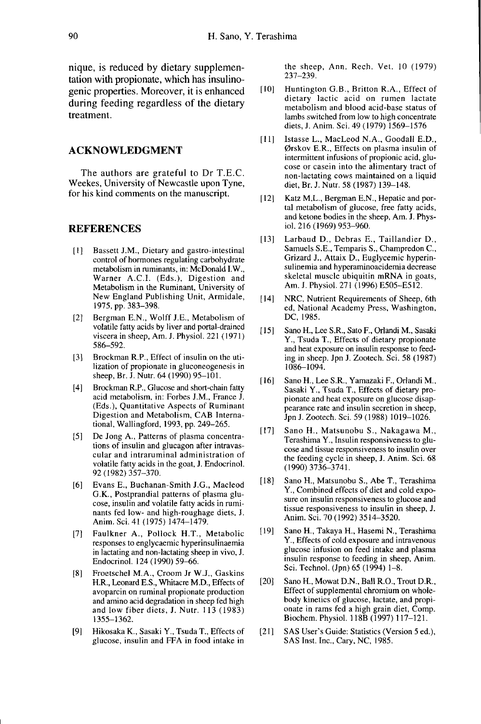nique, is reduced by dietary supplementation with propionate, which has insulinogenic properties. Moreover, it is enhanced during feeding regardless of the dietary treatment.

#### ACKNOWLEDGMENT

The authors are grateful to Dr T.E.C. Weekes, University of Newcastle upon Tyne, for his kind comments on the manuscript.

#### REFERENCES

- [1] ]Bassett J.M., Dietary and gastro-intestinal control of hormones regulating carbohydrate metabolism in ruminants, in: McDonald LW., Warner A.C.I. (Eds.), Digestion and Metabolism in the Ruminant, University of New England Publishing Unit, Armidale, 1975, pp. 383-398.
- [2] Bergman E.N., Wolff J.E., Metabolism of volatile fatty acids by liver and portal-drained viscera in sheep, Am. J. Physiol. 221 (1971) 586-592.
- [3] Brockman R.P., Effect of insulin on the utilization of propionate in gluconeogenesis in sheep, Br. J. Nutr. 64 (1990) 95-101.
- [4] Brockman R.P., Glucose and short-chain fatty acid metabolism, in: Forbes J.M., France J. (Eds.), Quantitative Aspects of Ruminant Digestion and Metabolism, CAB International, Wallingford, 1993, pp. 249-265.
- [5] De Jong A., Patterns of plasma concentrations of insulin and glucagon after intravascular and intraruminal administration of volatile fatty acids in the goat, J. Endocrinol. 92 (1982) 357-370.
- [6] Evans E., Buchanan-Smith J.G., Macleod G.K., Postprandial patterns of plasma glu cose, insulin and volatile fatty acids in ruminants fed low- and high-roughage diets, J. Anim. Sci. 41 (1975) 1474-1479.
- [7] Faulkner A., Pollock H.T., Metabolic responses to englycaemic hyperinsulinaemia in lactating and non-lactating sheep in vivo, J. Endocrinol. 124 (1990) 59-66.
- [8] Froetschel M.A., Croom Jr W.J., Gaskins H.R., Leonard E.S., Whitacre M.D., Effects of avoparcin on ruminal propionate production and amino acid degradation in sheep fed high and low fiber diets, J. Nutr. 113 (1983) 1355-1362.
- [9] Hikosaka K., Sasaki Y., Tsuda T., Effects of glucose, insulin and FFA in food intake in

the sheep, Ann. Rech. Vet. 10 (1979) 237-239.

- [10] Huntington G.B., Britton R.A., Effect of dietary lactic acid on rumen lactate metabolism and blood acid-base status of lambs switched from low to high concentrate diets, J. Anim. Sci. 49 ( 1979) 1569-1576
- [11] Istasse L., MacLeod N.A., Goodall E.D., 0rskov E.R., Effects on plasma insulin of intermittent infusions of propionic acid, glu cose or casein into the alimentary tract of non-lactating cows maintained on a liquid diet, Br. J. Nutr. 58 (1987) 139-148.
- [12] Katz M.L., Bergman E.N., Hepatic and portal metabolism of glucose, free fatty acids, and ketone bodies in the sheep, Am. J. Physiol. 216 (1969) 953-960.
- [13] Larbaud D., Debras E., Taillandier D., Samuels S.E., Temparis S., Champredon C., Grizard J., Attaix D., Euglycemic hyperinsulinemia and hyperaminoacidemia decrease<br>skeletal muscle ubiquitin mRNA in goats, Am. J. Physiol. 271 (1996) E505-E512.
- [14] NRC, Nutrient Requirements of Sheep, 6th ed, National Academy Press, Washington, DC, 1985.
- [ 15] Sano H., Lee S.R., Sato F., Orlandi M., Sasaki Y., Tsuda T., Effects of dietary propionate and heat exposure on insulin response to feeding in sheep. Jpn J. Zootech. Sci. 58 (1987) 1086-1094.
- [16] Sano H., Lee S.R., Yamazaki F., Orlandi M., Sasaki Y., Tsuda T., Effects of dietary propionate and heat exposure on glucose disap pearance rate and insulin secretion in sheep, Jpn J. Zootech. Sci. 59 (1988) 1019-1026.
- [17] Sano H., Matsunobu S., Nakagawa M., Terashima Y., Insulin responsiveness to glu cose and tissue responsiveness to insulin over the feeding cycle in sheep, J. Anim. Sci. 68 (1990)3736-3741.
- [18] Sano H., Matsunobu S., Abe T., Terashima Y., Combined effects of diet and cold expo sure on insulin responsiveness to glucose and tissue responsiveness to insulin in sheep, J. Anim. Sci. 70 (1992) 3514-3520.
- [19] Sano H., Takaya H., Hasemi N., Terashima Y., Effects of cold exposure and intravenous glucose infusion on feed intake and plasma insulin response to feeding in sheep, Anim. Sci. Technol. (Jpn) 65 (1994) 1-8.
- [20] Sano H., Mowat D.N., Ball R.O., Trout D.R., Effect of supplemental chromium on wholebody kinetics of glucose, lactate, and propi onate in rams fed a high grain diet, Comp. Biochem. Physiol. 118B (1997) 117-121.
- [21] SAS User's Guide: Statistics (Version 5 ed.), SAS Inst. Inc., Cary, NC, 1985.